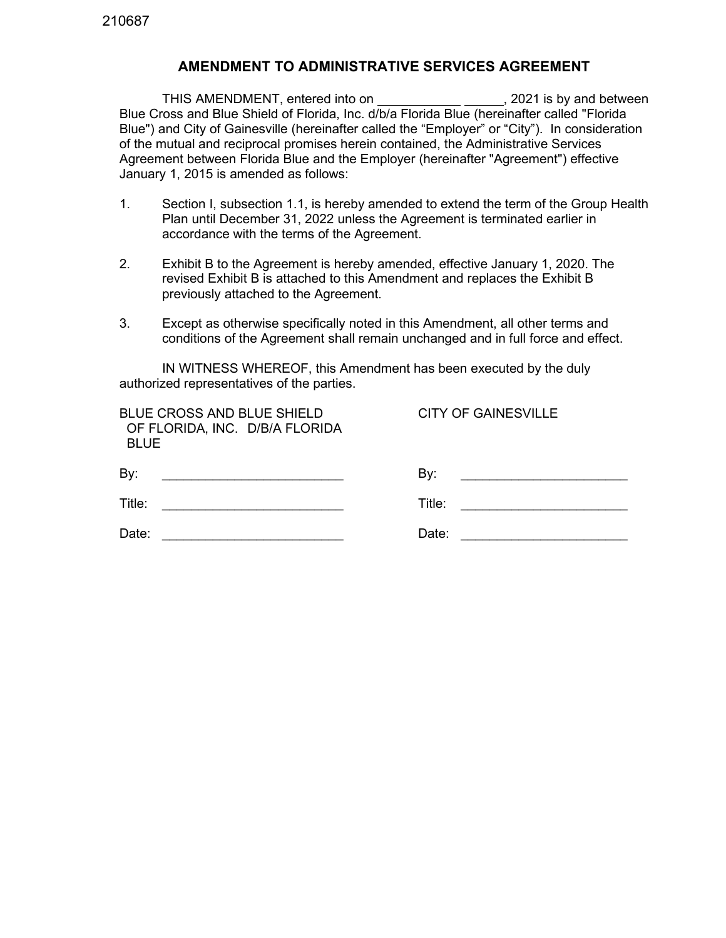## **AMENDMENT TO ADMINISTRATIVE SERVICES AGREEMENT**

THIS AMENDMENT, entered into on  $\hspace{1.6cm}$ , 2021 is by and between Blue Cross and Blue Shield of Florida, Inc. d/b/a Florida Blue (hereinafter called "Florida Blue") and City of Gainesville (hereinafter called the "Employer" or "City"). In consideration of the mutual and reciprocal promises herein contained, the Administrative Services Agreement between Florida Blue and the Employer (hereinafter "Agreement") effective January 1, 2015 is amended as follows:

- 1. Section I, subsection 1.1, is hereby amended to extend the term of the Group Health Plan until December 31, 2022 unless the Agreement is terminated earlier in accordance with the terms of the Agreement.
- 2. Exhibit B to the Agreement is hereby amended, effective January 1, 2020. The revised Exhibit B is attached to this Amendment and replaces the Exhibit B previously attached to the Agreement.
- 3. Except as otherwise specifically noted in this Amendment, all other terms and conditions of the Agreement shall remain unchanged and in full force and effect.

IN WITNESS WHEREOF, this Amendment has been executed by the duly authorized representatives of the parties.

| <b>BLUE CROSS AND BLUE SHIELD</b><br>OF FLORIDA, INC. D/B/A FLORIDA<br><b>BLUE</b> | <b>CITY OF GAINESVILLE</b> |
|------------------------------------------------------------------------------------|----------------------------|
| By:                                                                                | By:                        |
| Title:                                                                             | Title:                     |
| Date:                                                                              | Date:                      |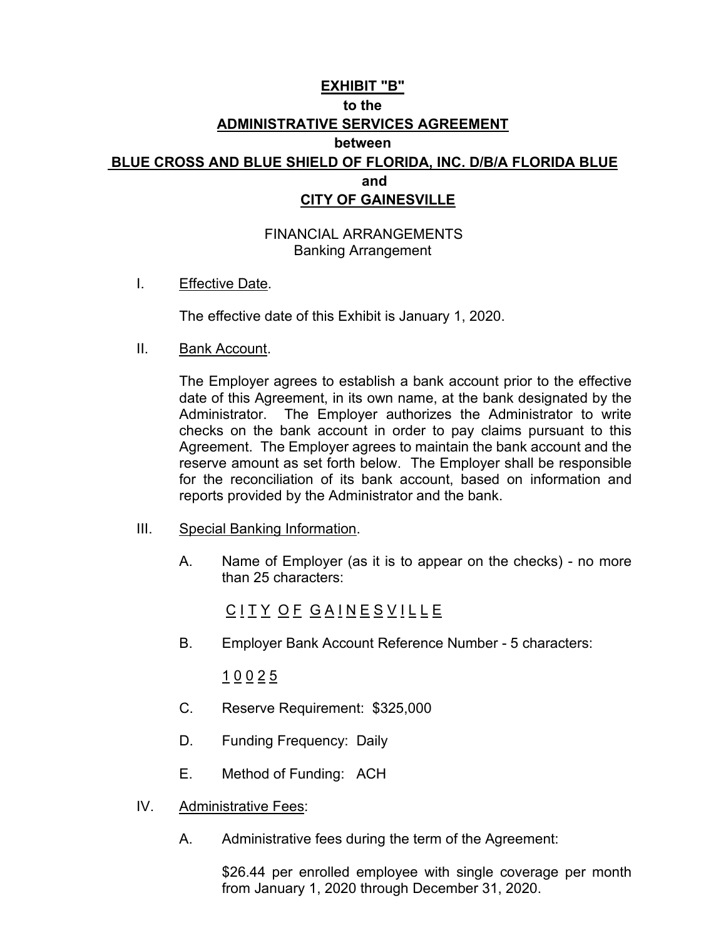## **EXHIBIT "B" to the ADMINISTRATIVE SERVICES AGREEMENT between BLUE CROSS AND BLUE SHIELD OF FLORIDA, INC. D/B/A FLORIDA BLUE and and and and CITY OF GAINESVILLE**

FINANCIAL ARRANGEMENTS Banking Arrangement

I. Effective Date.

The effective date of this Exhibit is January 1, 2020.

II. Bank Account.

The Employer agrees to establish a bank account prior to the effective date of this Agreement, in its own name, at the bank designated by the Administrator. The Employer authorizes the Administrator to write checks on the bank account in order to pay claims pursuant to this Agreement. The Employer agrees to maintain the bank account and the reserve amount as set forth below. The Employer shall be responsible for the reconciliation of its bank account, based on information and reports provided by the Administrator and the bank.

- III. Special Banking Information.
	- A. Name of Employer (as it is to appear on the checks) no more than 25 characters:

<u>C I T Y O F G A I N E S V I L L E</u>

B. Employer Bank Account Reference Number - 5 characters:

 $\underline{1} \underline{0} \underline{0} \underline{2} \underline{5}$ 

- C. Reserve Requirement: \$325,000
- D. Funding Frequency: Daily
- E. Method of Funding: ACH
- IV. Administrative Fees:
	- A. Administrative fees during the term of the Agreement:

\$26.44 per enrolled employee with single coverage per month from January 1, 2020 through December 31, 2020.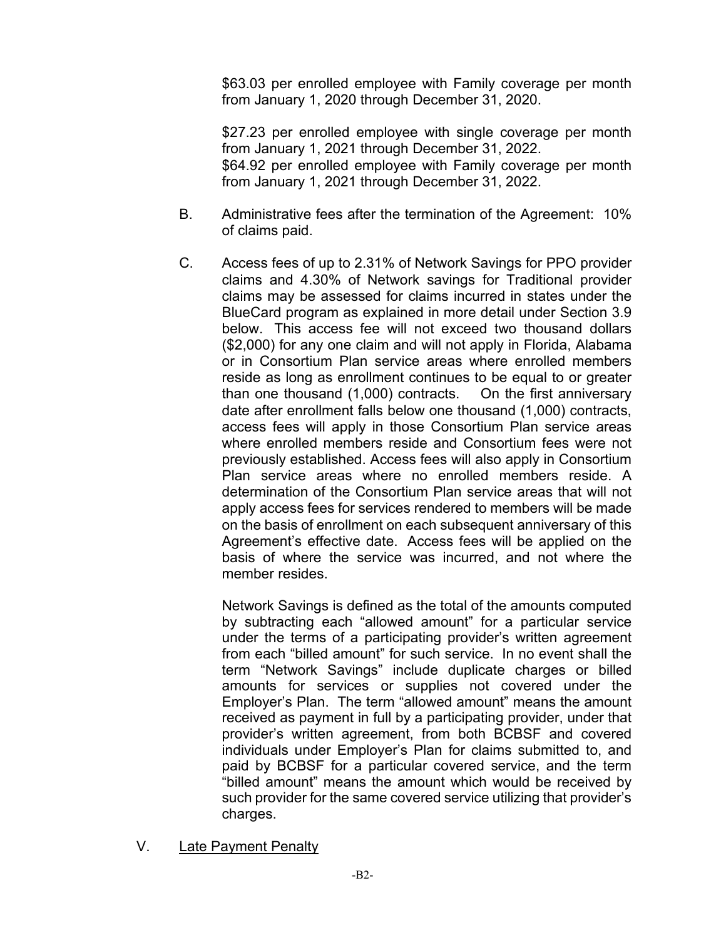\$63.03 per enrolled employee with Family coverage per month from January 1, 2020 through December 31, 2020.

\$27.23 per enrolled employee with single coverage per month from January 1, 2021 through December 31, 2022. \$64.92 per enrolled employee with Family coverage per month from January 1, 2021 through December 31, 2022.

- B. Administrative fees after the termination of the Agreement: 10% of claims paid.
- C. Access fees of up to 2.31% of Network Savings for PPO provider claims and 4.30% of Network savings for Traditional provider claims may be assessed for claims incurred in states under the BlueCard program as explained in more detail under Section 3.9 below. This access fee will not exceed two thousand dollars (\$2,000) for any one claim and will not apply in Florida, Alabama or in Consortium Plan service areas where enrolled members reside as long as enrollment continues to be equal to or greater than one thousand (1,000) contracts. On the first anniversary date after enrollment falls below one thousand (1,000) contracts, access fees will apply in those Consortium Plan service areas where enrolled members reside and Consortium fees were not previously established. Access fees will also apply in Consortium Plan service areas where no enrolled members reside. A determination of the Consortium Plan service areas that will not apply access fees for services rendered to members will be made on the basis of enrollment on each subsequent anniversary of this Agreement's effective date. Access fees will be applied on the basis of where the service was incurred, and not where the member resides.

Network Savings is defined as the total of the amounts computed by subtracting each "allowed amount" for a particular service under the terms of a participating provider's written agreement from each "billed amount" for such service. In no event shall the term "Network Savings" include duplicate charges or billed amounts for services or supplies not covered under the Employer's Plan. The term "allowed amount" means the amount received as payment in full by a participating provider, under that provider's written agreement, from both BCBSF and covered individuals under Employer's Plan for claims submitted to, and paid by BCBSF for a particular covered service, and the term "billed amount" means the amount which would be received by such provider for the same covered service utilizing that provider's charges.

V. Late Payment Penalty